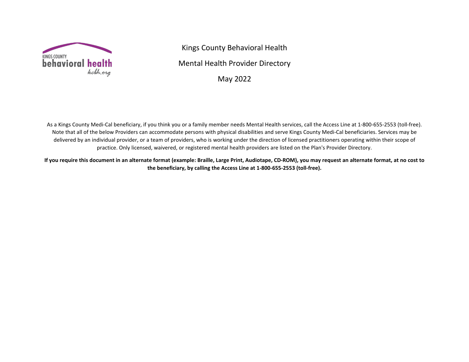

Kings County Behavioral Health Mental Health Provider Directory May 2022

As a Kings County Medi-Cal beneficiary, if you think you or a family member needs Mental Health services, call the Access Line at 1-800-655-2553 (toll-free). Note that all of the below Providers can accommodate persons with physical disabilities and serve Kings County Medi-Cal beneficiaries. Services may be delivered by an individual provider, or a team of providers, who is working under the direction of licensed practitioners operating within their scope of practice. Only licensed, waivered, or registered mental health providers are listed on the Plan's Provider Directory.

**If you require this document in an alternate format (example: Braille, Large Print, Audiotape, CD-ROM), you may request an alternate format, at no cost to the beneficiary, by calling the Access Line at 1-800-655-2553 (toll-free).**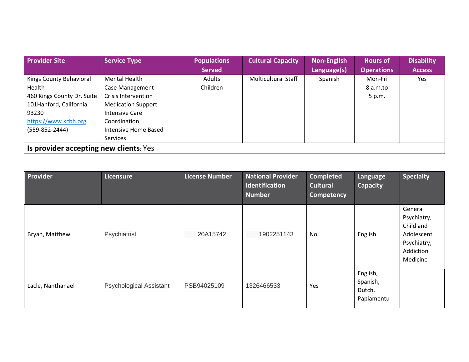| <b>Provider Site</b>                   | <b>Service Type</b>       | <b>Populations</b> | <b>Cultural Capacity</b>   | <b>Non-English</b> | <b>Hours of</b>   | <b>Disability</b> |
|----------------------------------------|---------------------------|--------------------|----------------------------|--------------------|-------------------|-------------------|
|                                        |                           | <b>Served</b>      |                            | Language(s)        | <b>Operations</b> | <b>Access</b>     |
| Kings County Behavioral                | <b>Mental Health</b>      | Adults             | <b>Multicultural Staff</b> | Spanish            | Mon-Fri           | Yes               |
| Health                                 | Case Management           | Children           |                            |                    | 8 a.m.to          |                   |
| 460 Kings County Dr. Suite             | Crisis Intervention       |                    |                            |                    | 5 p.m.            |                   |
| 101Hanford, California                 | <b>Medication Support</b> |                    |                            |                    |                   |                   |
| 93230                                  | Intensive Care            |                    |                            |                    |                   |                   |
| https://www.kcbh.org                   | Coordination              |                    |                            |                    |                   |                   |
| $(559-852-2444)$                       | Intensive Home Based      |                    |                            |                    |                   |                   |
|                                        | <b>Services</b>           |                    |                            |                    |                   |                   |
| Is provider accepting new clients: Yes |                           |                    |                            |                    |                   |                   |

| Provider          | Licensure                      | <b>License Number</b> | <b>National Provider</b><br>Identification<br><b>Number</b> | <b>Completed</b><br><b>Cultural</b><br><b>Competency</b> | Language<br>Capacity                         | <b>Specialty</b>                                                                          |
|-------------------|--------------------------------|-----------------------|-------------------------------------------------------------|----------------------------------------------------------|----------------------------------------------|-------------------------------------------------------------------------------------------|
| Bryan, Matthew    | Psychiatrist                   | 20A15742              | 1902251143                                                  | No.                                                      | English                                      | General<br>Psychiatry,<br>Child and<br>Adolescent<br>Psychiatry,<br>Addiction<br>Medicine |
| Lacle, Nanthanael | <b>Psychological Assistant</b> | PSB94025109           | 1326466533                                                  | Yes                                                      | English,<br>Spanish,<br>Dutch,<br>Papiamentu |                                                                                           |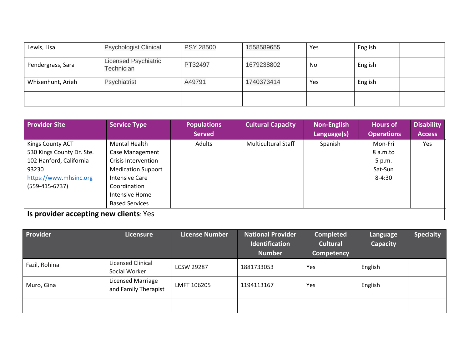| Lewis, Lisa       | <b>Psychologist Clinical</b>              | <b>PSY 28500</b> | 1558589655 | Yes | English |  |
|-------------------|-------------------------------------------|------------------|------------|-----|---------|--|
| Pendergrass, Sara | <b>Licensed Psychiatric</b><br>Technician | PT32497          | 1679238802 | No  | English |  |
| Whisenhunt, Arieh | Psychiatrist                              | A49791           | 1740373414 | Yes | English |  |
|                   |                                           |                  |            |     |         |  |

| <b>Provider Site</b>                   | <b>Service Type</b>       | <b>Populations</b> | <b>Cultural Capacity</b>   | <b>Non-English</b> | <b>Hours of</b>   | <b>Disability</b> |
|----------------------------------------|---------------------------|--------------------|----------------------------|--------------------|-------------------|-------------------|
|                                        |                           | <b>Served</b>      |                            | Language(s)        | <b>Operations</b> | <b>Access</b>     |
| Kings County ACT                       | Mental Health             | Adults             | <b>Multicultural Staff</b> | Spanish            | Mon-Fri           | Yes               |
| 530 Kings County Dr. Ste.              | Case Management           |                    |                            |                    | 8 a.m.to          |                   |
| 102 Hanford, California                | Crisis Intervention       |                    |                            |                    | 5 p.m.            |                   |
| 93230                                  | <b>Medication Support</b> |                    |                            |                    | Sat-Sun           |                   |
| https://www.mhsinc.org                 | <b>Intensive Care</b>     |                    |                            |                    | $8 - 4:30$        |                   |
| $(559-415-6737)$                       | Coordination              |                    |                            |                    |                   |                   |
|                                        | Intensive Home            |                    |                            |                    |                   |                   |
|                                        | <b>Based Services</b>     |                    |                            |                    |                   |                   |
| Is provider accepting new clients: Yes |                           |                    |                            |                    |                   |                   |

| Provider      | Licensure                                 | <b>License Number</b> | National Provider<br>Identification<br><b>Number</b> | <b>Completed</b><br><b>Cultural</b><br>Competency | Language<br><b>Capacity</b> | <b>Specialty</b> |
|---------------|-------------------------------------------|-----------------------|------------------------------------------------------|---------------------------------------------------|-----------------------------|------------------|
| Fazil, Rohina | Licensed Clinical<br>Social Worker        | <b>LCSW 29287</b>     | 1881733053                                           | Yes                                               | English                     |                  |
| Muro, Gina    | Licensed Marriage<br>and Family Therapist | LMFT 106205           | 1194113167                                           | Yes                                               | English                     |                  |
|               |                                           |                       |                                                      |                                                   |                             |                  |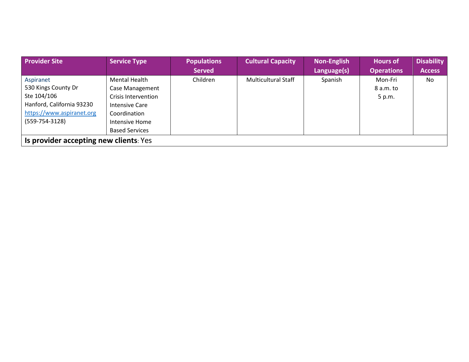| <b>Provider Site</b>      | <b>Service Type</b>                    | <b>Populations</b> | <b>Cultural Capacity</b>   | <b>Non-English</b> | <b>Hours of</b>   | <b>Disability</b> |  |  |  |  |
|---------------------------|----------------------------------------|--------------------|----------------------------|--------------------|-------------------|-------------------|--|--|--|--|
|                           |                                        | <b>Served</b>      |                            | Language(s)        | <b>Operations</b> | <b>Access</b>     |  |  |  |  |
| Aspiranet                 | Mental Health                          | Children           | <b>Multicultural Staff</b> | Spanish            | Mon-Fri           | No                |  |  |  |  |
| 530 Kings County Dr       | Case Management                        |                    |                            |                    | 8 a.m. to         |                   |  |  |  |  |
| Ste 104/106               | Crisis Intervention                    |                    |                            |                    | 5 p.m.            |                   |  |  |  |  |
| Hanford, California 93230 | Intensive Care                         |                    |                            |                    |                   |                   |  |  |  |  |
| https://www.aspiranet.org | Coordination                           |                    |                            |                    |                   |                   |  |  |  |  |
| $(559 - 754 - 3128)$      | Intensive Home                         |                    |                            |                    |                   |                   |  |  |  |  |
|                           | <b>Based Services</b>                  |                    |                            |                    |                   |                   |  |  |  |  |
|                           | Is provider accepting new clients: Yes |                    |                            |                    |                   |                   |  |  |  |  |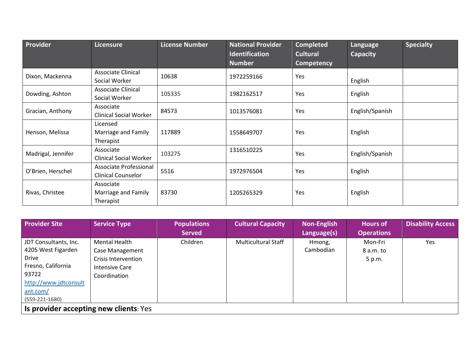| Provider           | Licensure                     | <b>License Number</b> | <b>National Provider</b><br><b>Identification</b> | <b>Completed</b><br><b>Cultural</b> | Language<br><b>Capacity</b> | Specialty |
|--------------------|-------------------------------|-----------------------|---------------------------------------------------|-------------------------------------|-----------------------------|-----------|
|                    |                               |                       | <b>Number</b>                                     | <b>Competency</b>                   |                             |           |
| Dixon, Mackenna    | <b>Associate Clinical</b>     | 10638                 | 1972259166                                        | Yes                                 |                             |           |
|                    | Social Worker                 |                       |                                                   |                                     | English                     |           |
| Dowding, Ashton    | Associate Clinical            | 105335                | 1982162517                                        | Yes                                 | English                     |           |
|                    | Social Worker                 |                       |                                                   |                                     |                             |           |
| Gracian, Anthony   | Associate                     | 84573                 | 1013576081                                        | Yes                                 | English/Spanish             |           |
|                    | <b>Clinical Social Worker</b> |                       |                                                   |                                     |                             |           |
|                    | Licensed                      |                       |                                                   |                                     |                             |           |
| Henson, Melissa    | Marriage and Family           | 117889                | 1558649707                                        | Yes                                 | English                     |           |
|                    | Therapist                     |                       |                                                   |                                     |                             |           |
| Madrigal, Jennifer | Associate                     | 103275                | 1316510225                                        | Yes                                 | English/Spanish             |           |
|                    | <b>Clinical Social Worker</b> |                       |                                                   |                                     |                             |           |
| O'Brien, Herschel  | Associate Professional        | 5516                  | 1972976504                                        | Yes                                 | English                     |           |
|                    | <b>Clinical Counselor</b>     |                       |                                                   |                                     |                             |           |
|                    | Associate                     |                       |                                                   |                                     |                             |           |
| Rivas, Christee    | Marriage and Family           | 83730                 | 1205265329                                        | Yes                                 | English                     |           |
|                    | Therapist                     |                       |                                                   |                                     |                             |           |

| <b>Provider Site</b>                   | <b>Service Type</b>    | <b>Populations</b> | <b>Cultural Capacity</b>   | <b>Non-English</b> | <b>Hours of</b>   | <b>Disability Access</b> |
|----------------------------------------|------------------------|--------------------|----------------------------|--------------------|-------------------|--------------------------|
|                                        |                        | <b>Served</b>      |                            | Language(s)        | <b>Operations</b> |                          |
| JDT Consultants, Inc.                  | Mental Health          | Children           | <b>Multicultural Staff</b> | Hmong,             | Mon-Fri           | Yes                      |
| 4205 West Figarden                     | <b>Case Management</b> |                    |                            | Cambodian          | 8 a.m. to         |                          |
| Drive                                  | Crisis Intervention    |                    |                            |                    | 5 p.m.            |                          |
| Fresno, California                     | Intensive Care         |                    |                            |                    |                   |                          |
| 93722                                  | Coordination           |                    |                            |                    |                   |                          |
| http://www.jdtconsult                  |                        |                    |                            |                    |                   |                          |
| ant.com/                               |                        |                    |                            |                    |                   |                          |
| $(559-221-1680)$                       |                        |                    |                            |                    |                   |                          |
| Is provider accepting new clients: Yes |                        |                    |                            |                    |                   |                          |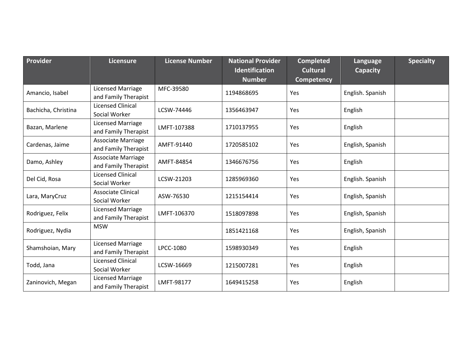| Provider            | <b>Licensure</b>                                  | <b>License Number</b> | <b>National Provider</b><br>Identification<br><b>Number</b> | <b>Completed</b><br><b>Cultural</b><br><b>Competency</b> | Language<br>Capacity | <b>Specialty</b> |
|---------------------|---------------------------------------------------|-----------------------|-------------------------------------------------------------|----------------------------------------------------------|----------------------|------------------|
| Amancio, Isabel     | <b>Licensed Marriage</b><br>and Family Therapist  | MFC-39580             | 1194868695                                                  | Yes                                                      | English. Spanish     |                  |
| Bachicha, Christina | <b>Licensed Clinical</b><br>Social Worker         | LCSW-74446            | 1356463947                                                  | Yes                                                      | English              |                  |
| Bazan, Marlene      | Licensed Marriage<br>and Family Therapist         | LMFT-107388           | 1710137955                                                  | Yes                                                      | English              |                  |
| Cardenas, Jaime     | <b>Associate Marriage</b><br>and Family Therapist | AMFT-91440            | 1720585102                                                  | Yes                                                      | English, Spanish     |                  |
| Damo, Ashley        | Associate Marriage<br>and Family Therapist        | AMFT-84854            | 1346676756                                                  | Yes                                                      | English              |                  |
| Del Cid, Rosa       | Licensed Clinical<br>Social Worker                | LCSW-21203            | 1285969360                                                  | Yes                                                      | English. Spanish     |                  |
| Lara, MaryCruz      | <b>Associate Clinical</b><br>Social Worker        | ASW-76530             | 1215154414                                                  | Yes                                                      | English, Spanish     |                  |
| Rodriguez, Felix    | <b>Licensed Marriage</b><br>and Family Therapist  | LMFT-106370           | 1518097898                                                  | Yes                                                      | English, Spanish     |                  |
| Rodriguez, Nydia    | <b>MSW</b>                                        |                       | 1851421168                                                  | Yes                                                      | English, Spanish     |                  |
| Shamshoian, Mary    | <b>Licensed Marriage</b><br>and Family Therapist  | LPCC-1080             | 1598930349                                                  | Yes                                                      | English              |                  |
| Todd, Jana          | <b>Licensed Clinical</b><br>Social Worker         | LCSW-16669            | 1215007281                                                  | Yes                                                      | English              |                  |
| Zaninovich, Megan   | <b>Licensed Marriage</b><br>and Family Therapist  | LMFT-98177            | 1649415258                                                  | Yes                                                      | English              |                  |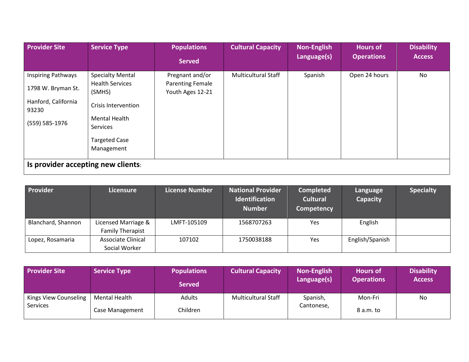| <b>Provider Site</b>                                                                              | <b>Service Type</b>                                                                                                                                          | <b>Populations</b><br><b>Served</b>                            | <b>Cultural Capacity</b>   | <b>Non-English</b><br>Language(s) | <b>Hours of</b><br><b>Operations</b> | <b>Disability</b><br><b>Access</b> |
|---------------------------------------------------------------------------------------------------|--------------------------------------------------------------------------------------------------------------------------------------------------------------|----------------------------------------------------------------|----------------------------|-----------------------------------|--------------------------------------|------------------------------------|
| <b>Inspiring Pathways</b><br>1798 W. Bryman St.<br>Hanford, California<br>93230<br>(559) 585-1976 | <b>Specialty Mental</b><br><b>Health Services</b><br>(SMHS)<br>Crisis Intervention<br><b>Mental Health</b><br>Services<br><b>Targeted Case</b><br>Management | Pregnant and/or<br><b>Parenting Female</b><br>Youth Ages 12-21 | <b>Multicultural Staff</b> | Spanish                           | Open 24 hours                        | No                                 |
| Is provider accepting new clients:                                                                |                                                                                                                                                              |                                                                |                            |                                   |                                      |                                    |

| Provider           | Licensure                                      | <b>License Number</b> | <b>National Provider</b><br><b>Identification</b><br><b>Number</b> | <b>Completed</b><br><b>Cultural</b><br>Competency | Language<br>Capacity | <b>Specialty</b> |
|--------------------|------------------------------------------------|-----------------------|--------------------------------------------------------------------|---------------------------------------------------|----------------------|------------------|
| Blanchard, Shannon | Licensed Marriage &<br><b>Family Therapist</b> | LMFT-105109           | 1568707263                                                         | Yes                                               | English              |                  |
|                    |                                                |                       |                                                                    |                                                   |                      |                  |
| Lopez, Rosamaria   | Associate Clinical                             | 107102                | 1750038188                                                         | Yes                                               | English/Spanish      |                  |
|                    | Social Worker                                  |                       |                                                                    |                                                   |                      |                  |

| <b>Provider Site</b>              | <b>Service Type</b>              | <b>Populations</b><br><b>Served</b> | <b>Cultural Capacity</b>   | <b>Non-English</b><br>Language(s) | <b>Hours of</b><br><b>Operations</b> | <b>Disability</b><br><b>Access</b> |
|-----------------------------------|----------------------------------|-------------------------------------|----------------------------|-----------------------------------|--------------------------------------|------------------------------------|
| Kings View Counseling<br>Services | Mental Health<br>Case Management | Adults<br>Children                  | <b>Multicultural Staff</b> | Spanish,<br>Cantonese,            | Mon-Fri<br>8a.m.to                   | No                                 |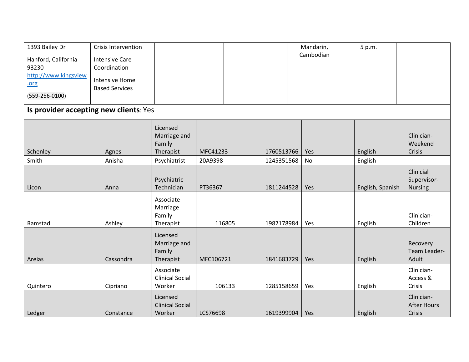| 1393 Bailey Dr<br>Hanford, California<br>93230<br>http://www.kingsview<br>.org<br>$(559 - 256 - 0100)$<br>Is provider accepting new clients: Yes | Crisis Intervention<br><b>Intensive Care</b><br>Coordination<br><b>Intensive Home</b><br><b>Based Services</b> |                                                 |           |            | Mandarin,<br>Cambodian |     | 5 p.m.           |                                            |
|--------------------------------------------------------------------------------------------------------------------------------------------------|----------------------------------------------------------------------------------------------------------------|-------------------------------------------------|-----------|------------|------------------------|-----|------------------|--------------------------------------------|
| Schenley                                                                                                                                         | Agnes                                                                                                          | Licensed<br>Marriage and<br>Family<br>Therapist | MFC41233  | 1760513766 |                        | Yes | English          | Clinician-<br>Weekend<br>Crisis            |
| Smith                                                                                                                                            | Anisha                                                                                                         | Psychiatrist                                    | 20A9398   | 1245351568 |                        | No  | English          |                                            |
| Licon                                                                                                                                            | Anna                                                                                                           | Psychiatric<br>Technician                       | PT36367   | 1811244528 |                        | Yes | English, Spanish | Clinicial<br>Supervisor-<br><b>Nursing</b> |
| Ramstad                                                                                                                                          | Ashley                                                                                                         | Associate<br>Marriage<br>Family<br>Therapist    | 116805    | 1982178984 |                        | Yes | English          | Clinician-<br>Children                     |
| Areias                                                                                                                                           | Cassondra                                                                                                      | Licensed<br>Marriage and<br>Family<br>Therapist | MFC106721 | 1841683729 |                        | Yes | English          | Recovery<br>Team Leader-<br>Adult          |
| Quintero                                                                                                                                         | Cipriano                                                                                                       | Associate<br><b>Clinical Social</b><br>Worker   | 106133    | 1285158659 |                        | Yes | English          | Clinician-<br>Access &<br>Crisis           |
| Ledger                                                                                                                                           | Constance                                                                                                      | Licensed<br><b>Clinical Social</b><br>Worker    | LCS76698  | 1619399904 |                        | Yes | English          | Clinician-<br><b>After Hours</b><br>Crisis |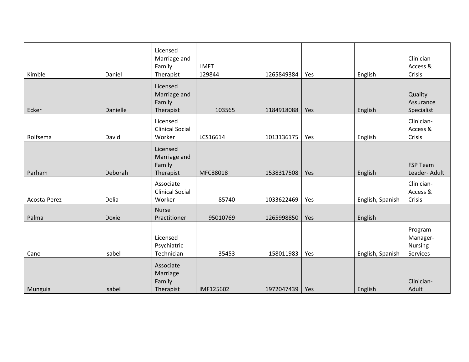| Kimble       | Daniel   | Licensed<br>Marriage and<br>Family<br>Therapist | <b>LMFT</b><br>129844 | 1265849384 | Yes | English          | Clinician-<br>Access &<br>Crisis           |
|--------------|----------|-------------------------------------------------|-----------------------|------------|-----|------------------|--------------------------------------------|
| Ecker        | Danielle | Licensed<br>Marriage and<br>Family<br>Therapist | 103565                | 1184918088 | Yes | English          | Quality<br>Assurance<br>Specialist         |
| Rolfsema     | David    | Licensed<br><b>Clinical Social</b><br>Worker    | LCS16614              | 1013136175 | Yes | English          | Clinician-<br>Access &<br>Crisis           |
| Parham       | Deborah  | Licensed<br>Marriage and<br>Family<br>Therapist | MFC88018              | 1538317508 | Yes | English          | <b>FSP Team</b><br>Leader-Adult            |
| Acosta-Perez | Delia    | Associate<br><b>Clinical Social</b><br>Worker   | 85740                 | 1033622469 | Yes | English, Spanish | Clinician-<br>Access &<br>Crisis           |
| Palma        | Doxie    | <b>Nurse</b><br>Practitioner                    | 95010769              | 1265998850 | Yes | English          |                                            |
| Cano         | Isabel   | Licensed<br>Psychiatric<br>Technician           | 35453                 | 158011983  | Yes | English, Spanish | Program<br>Manager-<br>Nursing<br>Services |
| Munguia      | Isabel   | Associate<br>Marriage<br>Family<br>Therapist    | IMF125602             | 1972047439 | Yes | English          | Clinician-<br>Adult                        |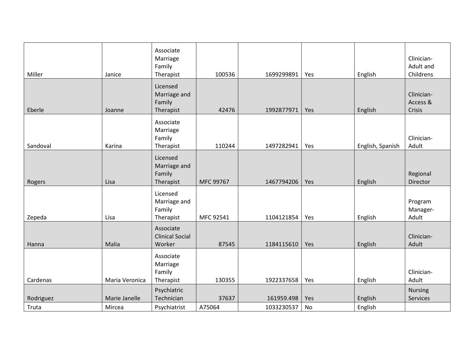| Miller    | Janice         | Associate<br>Marriage<br>Family<br>Therapist    | 100536    | 1699299891 | Yes | English          | Clinician-<br>Adult and<br>Childrens |
|-----------|----------------|-------------------------------------------------|-----------|------------|-----|------------------|--------------------------------------|
| Eberle    | Joanne         | Licensed<br>Marriage and<br>Family<br>Therapist | 42476     | 1992877971 | Yes | English          | Clinician-<br>Access &<br>Crisis     |
| Sandoval  | Karina         | Associate<br>Marriage<br>Family<br>Therapist    | 110244    | 1497282941 | Yes | English, Spanish | Clinician-<br>Adult                  |
| Rogers    | Lisa           | Licensed<br>Marriage and<br>Family<br>Therapist | MFC 99767 | 1467794206 | Yes | English          | Regional<br>Director                 |
| Zepeda    | Lisa           | Licensed<br>Marriage and<br>Family<br>Therapist | MFC 92541 | 1104121854 | Yes | English          | Program<br>Manager-<br>Adult         |
| Hanna     | Malia          | Associate<br><b>Clinical Social</b><br>Worker   | 87545     | 1184115610 | Yes | English          | Clinician-<br>Adult                  |
| Cardenas  | Maria Veronica | Associate<br>Marriage<br>Family<br>Therapist    | 130355    | 1922337658 | Yes | English          | Clinician-<br>Adult                  |
| Rodriguez | Marie Janelle  | Psychiatric<br>Technician                       | 37637     | 161959.498 | Yes | English          | <b>Nursing</b><br>Services           |
| Truta     | Mircea         | Psychiatrist                                    | A75064    | 1033230537 | No  | English          |                                      |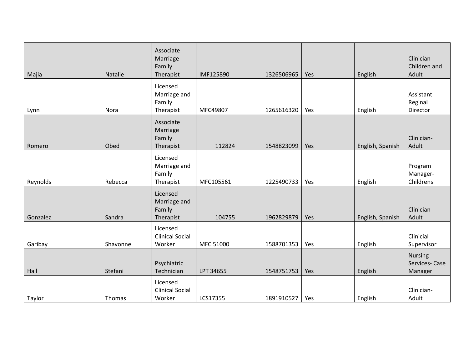| Majia    | Natalie  | Associate<br>Marriage<br>Family<br>Therapist    | IMF125890 | 1326506965 | Yes | English          | Clinician-<br>Children and<br>Adult        |
|----------|----------|-------------------------------------------------|-----------|------------|-----|------------------|--------------------------------------------|
| Lynn     | Nora     | Licensed<br>Marriage and<br>Family<br>Therapist | MFC49807  | 1265616320 | Yes | English          | Assistant<br>Reginal<br>Director           |
| Romero   | Obed     | Associate<br>Marriage<br>Family<br>Therapist    | 112824    | 1548823099 | Yes | English, Spanish | Clinician-<br>Adult                        |
| Reynolds | Rebecca  | Licensed<br>Marriage and<br>Family<br>Therapist | MFC105561 | 1225490733 | Yes | English          | Program<br>Manager-<br>Childrens           |
| Gonzalez | Sandra   | Licensed<br>Marriage and<br>Family<br>Therapist | 104755    | 1962829879 | Yes | English, Spanish | Clinician-<br>Adult                        |
| Garibay  | Shavonne | Licensed<br><b>Clinical Social</b><br>Worker    | MFC 51000 | 1588701353 | Yes | English          | Clinicial<br>Supervisor                    |
| Hall     | Stefani  | Psychiatric<br>Technician                       | LPT 34655 | 1548751753 | Yes | English          | <b>Nursing</b><br>Services-Case<br>Manager |
| Taylor   | Thomas   | Licensed<br><b>Clinical Social</b><br>Worker    | LCS17355  | 1891910527 | Yes | English          | Clinician-<br>Adult                        |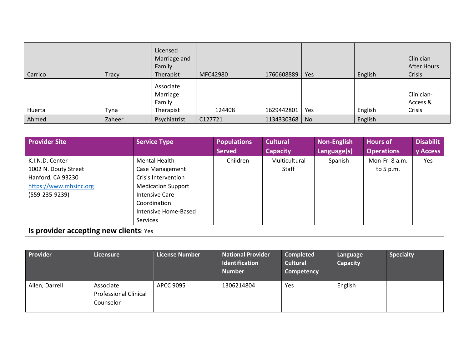| Carrico | <b>Tracy</b> | Licensed<br>Marriage and<br>Family<br>Therapist | MFC42980 | 1760608889 | Yes       | English | Clinician-<br><b>After Hours</b><br>Crisis |
|---------|--------------|-------------------------------------------------|----------|------------|-----------|---------|--------------------------------------------|
| Huerta  | Tyna         | Associate<br>Marriage<br>Family<br>Therapist    | 124408   | 1629442801 | Yes       | English | Clinician-<br>Access &<br>Crisis           |
| Ahmed   | Zaheer       | Psychiatrist                                    | C127721  | 1134330368 | <b>No</b> | English |                                            |

| <b>Provider Site</b>                   | <b>Service Type</b>       | <b>Populations</b> | <b>Cultural</b> | <b>Non-English</b> | Hours of          | <b>Disabilit</b> |
|----------------------------------------|---------------------------|--------------------|-----------------|--------------------|-------------------|------------------|
|                                        |                           | <b>Served</b>      | <b>Capacity</b> | Language(s)        | <b>Operations</b> | y Access         |
| K.I.N.D. Center                        | Mental Health             | Children           | Multicultural   | Spanish            | Mon-Fri 8 a.m.    | Yes              |
| 1002 N. Douty Street                   | <b>Case Management</b>    |                    | Staff           |                    | to $5 p.m.$       |                  |
| Hanford, CA 93230                      | Crisis Intervention       |                    |                 |                    |                   |                  |
| https://www.mhsinc.org                 | <b>Medication Support</b> |                    |                 |                    |                   |                  |
| $(559-235-9239)$                       | Intensive Care            |                    |                 |                    |                   |                  |
|                                        | Coordination              |                    |                 |                    |                   |                  |
|                                        | Intensive Home-Based      |                    |                 |                    |                   |                  |
|                                        | Services                  |                    |                 |                    |                   |                  |
| Is provider accepting new clients: Yes |                           |                    |                 |                    |                   |                  |

| Provider       | Licensure                                              | <b>License Number</b> | <b>National Provider</b><br>Identification<br><b>Number</b> | Completed<br><b>Cultural</b><br>Competency | Language<br>Capacity | <b>Specialty</b> |
|----------------|--------------------------------------------------------|-----------------------|-------------------------------------------------------------|--------------------------------------------|----------------------|------------------|
| Allen, Darrell | Associate<br><b>Professional Clinical</b><br>Counselor | APCC 9095             | 1306214804                                                  | Yes                                        | English              |                  |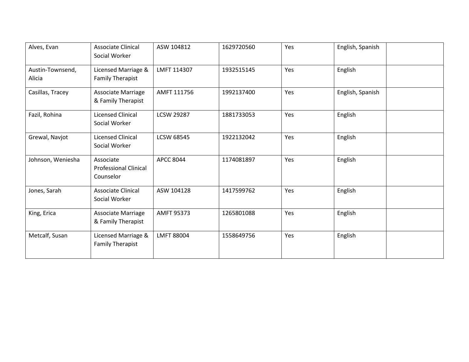| Alves, Evan                | <b>Associate Clinical</b><br>Social Worker             | ASW 104812        | 1629720560 | Yes | English, Spanish |
|----------------------------|--------------------------------------------------------|-------------------|------------|-----|------------------|
| Austin-Townsend,<br>Alicia | Licensed Marriage &<br><b>Family Therapist</b>         | LMFT 114307       | 1932515145 | Yes | English          |
| Casillas, Tracey           | <b>Associate Marriage</b><br>& Family Therapist        | AMFT 111756       | 1992137400 | Yes | English, Spanish |
| Fazil, Rohina              | <b>Licensed Clinical</b><br>Social Worker              | <b>LCSW 29287</b> | 1881733053 | Yes | English          |
| Grewal, Navjot             | <b>Licensed Clinical</b><br>Social Worker              | <b>LCSW 68545</b> | 1922132042 | Yes | English          |
| Johnson, Weniesha          | Associate<br><b>Professional Clinical</b><br>Counselor | <b>APCC 8044</b>  | 1174081897 | Yes | English          |
| Jones, Sarah               | <b>Associate Clinical</b><br>Social Worker             | ASW 104128        | 1417599762 | Yes | English          |
| King, Erica                | Associate Marriage<br>& Family Therapist               | <b>AMFT 95373</b> | 1265801088 | Yes | English          |
| Metcalf, Susan             | Licensed Marriage &<br><b>Family Therapist</b>         | <b>LMFT 88004</b> | 1558649756 | Yes | English          |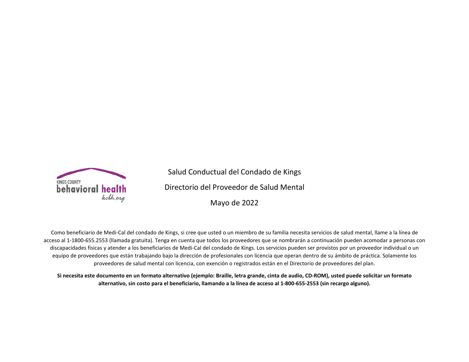

Salud Conductual del Condado de Kings Directorio del Proveedor de Salud Mental Mayo de 2022

Como beneficiario de Medi-Cal del condado de Kings, si cree que usted o un miembro de su familia necesita servicios de salud mental, llame a la línea de acceso al 1-1800-655.2553 (llamada gratuita). Tenga en cuenta que todos los proveedores que se nombrarán a continuación pueden acomodar a personas con discapacidades físicas y atender a los beneficiarios de Medi-Cal del condado de Kings. Los servicios pueden ser provistos por un proveedor individual o un equipo de proveedores que están trabajando bajo la dirección de profesionales con licencia que operan dentro de su ámbito de práctica. Solamente los proveedores de salud mental con licencia, con exención o registrados están en el Directorio de proveedores del plan.

**Si necesita este documento en un formato alternativo (ejemplo: Braille, letra grande, cinta de audio, CD-ROM), usted puede solicitar un formato alternativo, sin costo para el beneficiario, llamando a la línea de acceso al 1-800-655-2553 (sin recargo alguno).**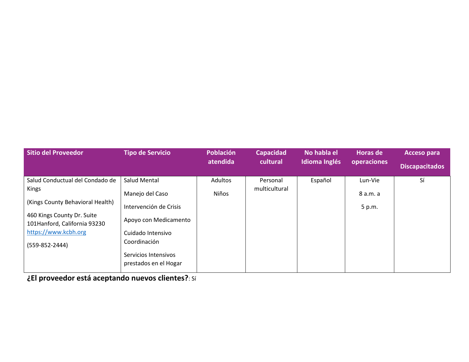| <b>Sitio del Proveedor</b>                                                                                                                                                             | <b>Tipo de Servicio</b>                                                                                                                                                  | Población<br>atendida          | <b>Capacidad</b><br>cultural | No habla el<br>Idioma Inglés | <b>Horas de</b><br>operaciones | <b>Acceso para</b><br><b>Discapacitados</b> |
|----------------------------------------------------------------------------------------------------------------------------------------------------------------------------------------|--------------------------------------------------------------------------------------------------------------------------------------------------------------------------|--------------------------------|------------------------------|------------------------------|--------------------------------|---------------------------------------------|
| Salud Conductual del Condado de<br>Kings<br>(Kings County Behavioral Health)<br>460 Kings County Dr. Suite<br>101Hanford, California 93230<br>https://www.kcbh.org<br>$(559-852-2444)$ | Salud Mental<br>Manejo del Caso<br>Intervención de Crisis<br>Apoyo con Medicamento<br>Cuidado Intensivo<br>Coordinación<br>Servicios Intensivos<br>prestados en el Hogar | <b>Adultos</b><br><b>Niños</b> | Personal<br>multicultural    | Español                      | Lun-Vie<br>8 a.m. a<br>5 p.m.  | Sí                                          |

**¿El proveedor está aceptando nuevos clientes?**: Sí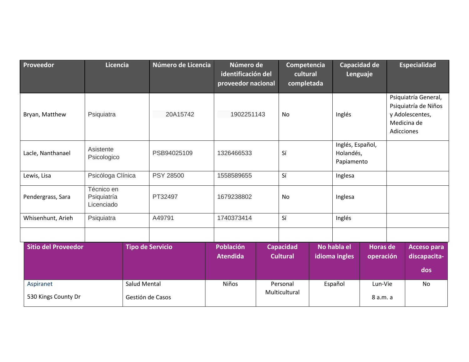| Proveedor                        | <b>Licencia</b>                         |                                  | Número de Licencia      | Número de<br>identificación del<br>proveedor nacional |  | Competencia<br>cultural<br>completada |  | Lenguaje                     | Capacidad de                 |                                             | <b>Especialidad</b>                                                            |  |  |
|----------------------------------|-----------------------------------------|----------------------------------|-------------------------|-------------------------------------------------------|--|---------------------------------------|--|------------------------------|------------------------------|---------------------------------------------|--------------------------------------------------------------------------------|--|--|
| Bryan, Matthew                   | Psiquiatra                              |                                  | 20A15742                | 1902251143                                            |  | No                                    |  | Inglés                       |                              | Adicciones                                  | Psiquiatría General,<br>Psiquiatría de Niños<br>y Adolescentes,<br>Medicina de |  |  |
| Lacle, Nanthanael                | Asistente<br>Psicologico                |                                  | PSB94025109             | 1326466533                                            |  | Sí                                    |  |                              |                              | Inglés, Español,<br>Holandés,<br>Papiamento |                                                                                |  |  |
| Lewis, Lisa                      | Psicóloga Clínica                       |                                  | <b>PSY 28500</b>        | 1558589655                                            |  | Sí                                    |  | Inglesa                      |                              |                                             |                                                                                |  |  |
| Pendergrass, Sara                | Técnico en<br>Psiquiatría<br>Licenciado |                                  | PT32497                 | 1679238802                                            |  | No                                    |  | Inglesa                      |                              |                                             |                                                                                |  |  |
| Whisenhunt, Arieh                | Psiquiatra                              |                                  | A49791                  | 1740373414                                            |  | Sí                                    |  | Inglés                       |                              |                                             |                                                                                |  |  |
|                                  |                                         |                                  |                         |                                                       |  |                                       |  |                              |                              |                                             |                                                                                |  |  |
| <b>Sitio del Proveedor</b>       |                                         |                                  | <b>Tipo de Servicio</b> | <b>Población</b><br><b>Atendida</b>                   |  | <b>Capacidad</b><br><b>Cultural</b>   |  | No habla el<br>idioma ingles | <b>Horas de</b><br>operación |                                             | <b>Acceso para</b><br>discapacita-<br>dos                                      |  |  |
| Aspiranet<br>530 Kings County Dr |                                         | Salud Mental<br>Gestión de Casos |                         | <b>Niños</b>                                          |  | Personal<br>Multicultural             |  | Español                      | Lun-Vie<br>8 a.m. a          |                                             | <b>No</b>                                                                      |  |  |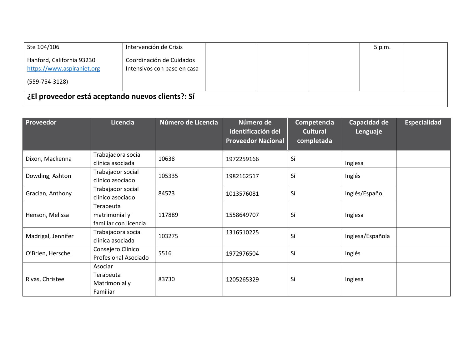| Ste 104/106                                             | Intervención de Crisis                                  |  | 5 p.m. |  |
|---------------------------------------------------------|---------------------------------------------------------|--|--------|--|
| Hanford, California 93230<br>https://www.aspiraniet.org | Coordinación de Cuidados<br>Intensivos con base en casa |  |        |  |
| $(559 - 754 - 3128)$                                    |                                                         |  |        |  |
| ¿El proveedor está aceptando nuevos clients?: Sí        |                                                         |  |        |  |

| Proveedor          | Licencia                                            | Número de Licencia | Número de<br>identificación del<br><b>Proveedor Nacional</b> | Competencia<br><b>Cultural</b><br>completada | Capacidad de<br>Lenguaje | <b>Especialidad</b> |
|--------------------|-----------------------------------------------------|--------------------|--------------------------------------------------------------|----------------------------------------------|--------------------------|---------------------|
| Dixon, Mackenna    | Trabajadora social<br>clínica asociada              | 10638              | 1972259166                                                   | Sí                                           | Inglesa                  |                     |
| Dowding, Ashton    | Trabajador social<br>clínico asociado               | 105335             | 1982162517                                                   | Sí                                           | Inglés                   |                     |
| Gracian, Anthony   | Trabajador social<br>clínico asociado               | 84573              | 1013576081                                                   | Sí                                           | Inglés/Español           |                     |
| Henson, Melissa    | Terapeuta<br>matrimonial y<br>familiar con licencia | 117889             | 1558649707                                                   | Sí                                           | Inglesa                  |                     |
| Madrigal, Jennifer | Trabajadora social<br>clínica asociada              | 103275             | 1316510225                                                   | Sí                                           | Inglesa/Española         |                     |
| O'Brien, Herschel  | Consejero Clínico<br>Profesional Asociado           | 5516               | 1972976504                                                   | Sí                                           | Inglés                   |                     |
| Rivas, Christee    | Asociar<br>Terapeuta<br>Matrimonial y<br>Familiar   | 83730              | 1205265329                                                   | Sí                                           | Inglesa                  |                     |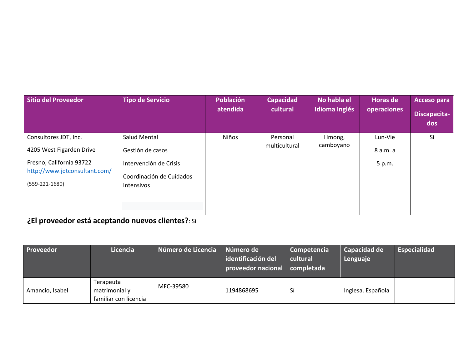| <b>Sitio del Proveedor</b>                                                                                                         | <b>Tipo de Servicio</b>                                                                                            | Población<br>atendida | <b>Capacidad</b><br>cultural | No habla el<br>Idioma Inglés | Horas de<br>operaciones       | <b>Acceso para</b><br>Discapacita-<br>dos |
|------------------------------------------------------------------------------------------------------------------------------------|--------------------------------------------------------------------------------------------------------------------|-----------------------|------------------------------|------------------------------|-------------------------------|-------------------------------------------|
| Consultores JDT, Inc.<br>4205 West Figarden Drive<br>Fresno, California 93722<br>http://www.jdtconsultant.com/<br>$(559-221-1680)$ | <b>Salud Mental</b><br>Gestión de casos<br>Intervención de Crisis<br>Coordinación de Cuidados<br><b>Intensivos</b> | Niños                 | Personal<br>multicultural    | Hmong,<br>camboyano          | Lun-Vie<br>8 a.m. a<br>5 p.m. | Sí                                        |
| ¿El proveedor está aceptando nuevos clientes?: Sí                                                                                  |                                                                                                                    |                       |                              |                              |                               |                                           |

| <b>Proveedor</b> | Licencia                                            | Número de Licencia | Número de<br>identificación del<br>proveedor nacional | Competencia<br>cultural<br>completada | Capacidad de<br>Lenguaje | Especialidad |
|------------------|-----------------------------------------------------|--------------------|-------------------------------------------------------|---------------------------------------|--------------------------|--------------|
| Amancio, Isabel  | Terapeuta<br>matrimonial y<br>familiar con licencia | MFC-39580          | 1194868695                                            | Si                                    | Inglesa. Española        |              |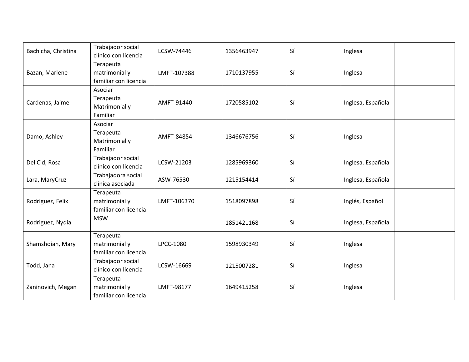| Bachicha, Christina | Trabajador social<br>clínico con licencia           | LCSW-74446  | 1356463947 | Sí | Inglesa           |  |
|---------------------|-----------------------------------------------------|-------------|------------|----|-------------------|--|
| Bazan, Marlene      | Terapeuta<br>matrimonial y<br>familiar con licencia | LMFT-107388 | 1710137955 | Sí | Inglesa           |  |
| Cardenas, Jaime     | Asociar<br>Terapeuta<br>Matrimonial y<br>Familiar   | AMFT-91440  | 1720585102 | Sí | Inglesa, Española |  |
| Damo, Ashley        | Asociar<br>Terapeuta<br>Matrimonial y<br>Familiar   | AMFT-84854  | 1346676756 | Sí | Inglesa           |  |
| Del Cid, Rosa       | Trabajador social<br>clínico con licencia           | LCSW-21203  | 1285969360 | Sí | Inglesa. Española |  |
| Lara, MaryCruz      | Trabajadora social<br>clínica asociada              | ASW-76530   | 1215154414 | Sí | Inglesa, Española |  |
| Rodriguez, Felix    | Terapeuta<br>matrimonial y<br>familiar con licencia | LMFT-106370 | 1518097898 | Sí | Inglés, Español   |  |
| Rodriguez, Nydia    | <b>MSW</b>                                          |             | 1851421168 | Sí | Inglesa, Española |  |
| Shamshoian, Mary    | Terapeuta<br>matrimonial y<br>familiar con licencia | LPCC-1080   | 1598930349 | Sí | Inglesa           |  |
| Todd, Jana          | Trabajador social<br>clínico con licencia           | LCSW-16669  | 1215007281 | Sí | Inglesa           |  |
| Zaninovich, Megan   | Terapeuta<br>matrimonial y<br>familiar con licencia | LMFT-98177  | 1649415258 | Sí | Inglesa           |  |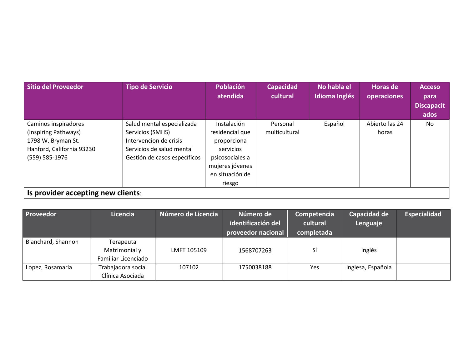| <b>Sitio del Proveedor</b>                                                                                        | <b>Tipo de Servicio</b>                                                                                                               | <b>Población</b><br>atendida                                                                                                  | <b>Capacidad</b><br>cultural | No habla el<br>Idioma Inglés | <b>Horas de</b><br>operaciones | <b>Acceso</b><br>para<br><b>Discapacit</b><br>ados |
|-------------------------------------------------------------------------------------------------------------------|---------------------------------------------------------------------------------------------------------------------------------------|-------------------------------------------------------------------------------------------------------------------------------|------------------------------|------------------------------|--------------------------------|----------------------------------------------------|
| Caminos inspiradores<br>(Inspiring Pathways)<br>1798 W. Bryman St.<br>Hanford, California 93230<br>(559) 585-1976 | Salud mental especializada<br>Servicios (SMHS)<br>Intervencion de crisis<br>Servicios de salud mental<br>Gestión de casos específicos | Instalación<br>residencial que<br>proporciona<br>servicios<br>psicosociales a<br>mujeres jóvenes<br>en situación de<br>riesgo | Personal<br>multicultural    | Español                      | Abierto las 24<br>horas        | No                                                 |
| Is provider accepting new clients:                                                                                |                                                                                                                                       |                                                                                                                               |                              |                              |                                |                                                    |

| Proveedor          | Licencia                                          | Número de Licencia | Número de<br>identificación del<br>proveedor nacional | Competencia<br>cultural<br>completada | Capacidad de<br>Lenguaje | Especialidad |
|--------------------|---------------------------------------------------|--------------------|-------------------------------------------------------|---------------------------------------|--------------------------|--------------|
| Blanchard, Shannon | Terapeuta<br>Matrimonial y<br>Familiar Licenciado | LMFT 105109        | 1568707263                                            | Sí                                    | Inglés                   |              |
| Lopez, Rosamaria   | Trabajadora social<br>Clínica Asociada            | 107102             | 1750038188                                            | Yes                                   | Inglesa, Española        |              |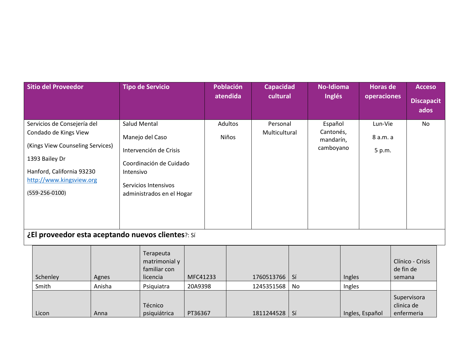| <b>Sitio del Proveedor</b>                                                                                                                                                              | <b>Tipo de Servicio</b>                                                                                                                                       |                    | <b>Población</b><br>atendida | <b>Capacidad</b><br>cultural         | <b>No-Idioma</b><br>Inglés                     |                           | <b>Horas de</b><br>operaciones | <b>Acceso</b>                           |
|-----------------------------------------------------------------------------------------------------------------------------------------------------------------------------------------|---------------------------------------------------------------------------------------------------------------------------------------------------------------|--------------------|------------------------------|--------------------------------------|------------------------------------------------|---------------------------|--------------------------------|-----------------------------------------|
|                                                                                                                                                                                         |                                                                                                                                                               |                    |                              |                                      |                                                |                           |                                | <b>Discapacit</b><br>ados               |
| Servicios de Consejería del<br>Condado de Kings View<br>(Kings View Counseling Services)<br>1393 Bailey Dr<br>Hanford, California 93230<br>http://www.kingsview.org<br>$(559-256-0100)$ | <b>Salud Mental</b><br>Manejo del Caso<br>Intervención de Crisis<br>Coordinación de Cuidado<br>Intensivo<br>Servicios Intensivos<br>administrados en el Hogar |                    | Adultos<br>Niños             | Personal<br>Multicultural            | Español<br>Cantonés,<br>mandarín,<br>camboyano |                           | Lun-Vie<br>8 a.m. a<br>5 p.m.  | <b>No</b>                               |
| ¿El proveedor esta aceptando nuevos clientes?: Sí                                                                                                                                       |                                                                                                                                                               |                    |                              |                                      |                                                |                           |                                |                                         |
| Schenley<br>Agnes                                                                                                                                                                       | Terapeuta<br>matrimonial y<br>familiar con<br>licencia                                                                                                        | MFC41233           |                              | Sí<br>1760513766                     |                                                | Ingles                    | semana                         | Clínico - Crisis<br>de fin de           |
| Anisha<br>Smith<br>Licon<br>Anna                                                                                                                                                        | Psiquiatra<br>Técnico<br>psiquiátrica                                                                                                                         | 20A9398<br>PT36367 |                              | 1245351568<br>No<br>1811244528<br>Sí |                                                | Ingles<br>Ingles, Español |                                | Supervisora<br>clinica de<br>enfermeria |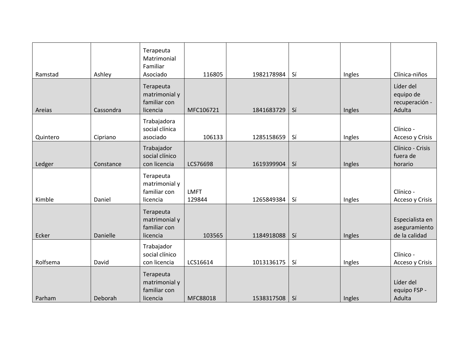|          |           | Terapeuta<br>Matrimonial<br>Familiar                   |                       |            |    |        |                                                    |
|----------|-----------|--------------------------------------------------------|-----------------------|------------|----|--------|----------------------------------------------------|
| Ramstad  | Ashley    | Asociado                                               | 116805                | 1982178984 | Sí | Ingles | Clínica-niños                                      |
| Areias   | Cassondra | Terapeuta<br>matrimonial y<br>familiar con<br>licencia | MFC106721             | 1841683729 | Sí | Ingles | Líder del<br>equipo de<br>recuperación -<br>Adulta |
| Quintero | Cipriano  | Trabajadora<br>social clínica<br>asociado              | 106133                | 1285158659 | Sí | Ingles | Clínico -<br>Acceso y Crisis                       |
| Ledger   | Constance | Trabajador<br>social clínico<br>con licencia           | LCS76698              | 1619399904 | Sí | Ingles | Clínico - Crisis<br>fuera de<br>horario            |
| Kimble   | Daniel    | Terapeuta<br>matrimonial y<br>familiar con<br>licencia | <b>LMFT</b><br>129844 | 1265849384 | Sí | Ingles | Clínico -<br>Acceso y Crisis                       |
| Ecker    | Danielle  | Terapeuta<br>matrimonial y<br>familiar con<br>licencia | 103565                | 1184918088 | Sí | Ingles | Especialista en<br>aseguramiento<br>de la calidad  |
| Rolfsema | David     | Trabajador<br>social clínico<br>con licencia           | LCS16614              | 1013136175 | Sí | Ingles | Clínico -<br>Acceso y Crisis                       |
| Parham   | Deborah   | Terapeuta<br>matrimonial y<br>familiar con<br>licencia | MFC88018              | 1538317508 | Sí | Ingles | Líder del<br>equipo FSP -<br>Adulta                |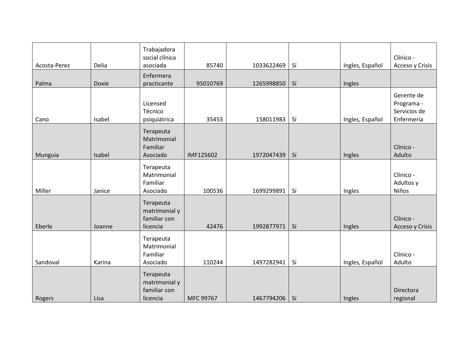| Acosta-Perez | Delia  | Trabajadora<br>social clínica<br>asociada              | 85740     | 1033622469 | Sí | Ingles, Español | Clínico -<br>Acceso y Crisis                           |
|--------------|--------|--------------------------------------------------------|-----------|------------|----|-----------------|--------------------------------------------------------|
| Palma        | Doxie  | Enfermera<br>practicante                               | 95010769  | 1265998850 | Sí | Ingles          |                                                        |
| Cano         | Isabel | Licensed<br>Técnico<br>psiquiátrica                    | 35453     | 158011983  | Sí | Ingles, Español | Gerente de<br>Programa -<br>Servicios de<br>Enfermería |
| Munguia      | Isabel | Terapeuta<br>Matrimonial<br>Familiar<br>Asociado       | IMF125602 | 1972047439 | Sí | Ingles          | Clínico -<br>Adulto                                    |
| Miller       | Janice | Terapeuta<br>Matrimonial<br>Familiar<br>Asociado       | 100536    | 1699299891 | Sí | Ingles          | Clínico -<br>Adultos y<br>Niños                        |
| Eberle       | Joanne | Terapeuta<br>matrimonial y<br>familiar con<br>licencia | 42476     | 1992877971 | Sí | Ingles          | Clínico -<br>Acceso y Crisis                           |
| Sandoval     | Karina | Terapeuta<br>Matrimonial<br>Familiar<br>Asociado       | 110244    | 1497282941 | Sí | Ingles, Español | Clínico -<br>Adulto                                    |
| Rogers       | Lisa   | Terapeuta<br>matrimonial y<br>familiar con<br>licencia | MFC 99767 | 1467794206 | Sí | Ingles          | Directora<br>regional                                  |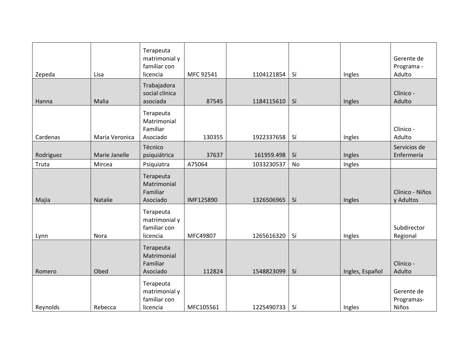| Zepeda    | Lisa           | Terapeuta<br>matrimonial y<br>familiar con<br>licencia | MFC 92541 | 1104121854 | Sí | Ingles          | Gerente de<br>Programa -<br>Adulto |
|-----------|----------------|--------------------------------------------------------|-----------|------------|----|-----------------|------------------------------------|
| Hanna     | Malia          | Trabajadora<br>social clínica<br>asociada              | 87545     | 1184115610 | Sí | Ingles          | Clínico -<br>Adulto                |
| Cardenas  | Maria Veronica | Terapeuta<br>Matrimonial<br>Familiar<br>Asociado       | 130355    | 1922337658 | Sí | Ingles          | Clínico -<br>Adulto                |
| Rodriguez | Marie Janelle  | Técnico<br>psiquiátrica                                | 37637     | 161959.498 | Sí | Ingles          | Servicios de<br>Enfermería         |
| Truta     | Mircea         | Psiquiatra                                             | A75064    | 1033230537 | No | Ingles          |                                    |
| Majia     | Natalie        | Terapeuta<br>Matrimonial<br>Familiar<br>Asociado       | IMF125890 | 1326506965 | Sí | Ingles          | Clínico - Niños<br>y Adultos       |
| Lynn      | Nora           | Terapeuta<br>matrimonial y<br>familiar con<br>licencia | MFC49807  | 1265616320 | Sí | Ingles          | Subdirector<br>Regional            |
| Romero    | Obed           | Terapeuta<br>Matrimonial<br>Familiar<br>Asociado       | 112824    | 1548823099 | Sí | Ingles, Español | Clínico -<br>Adulto                |
| Reynolds  | Rebecca        | Terapeuta<br>matrimonial y<br>familiar con<br>licencia | MFC105561 | 1225490733 | Sí | Ingles          | Gerente de<br>Programas-<br>Niños  |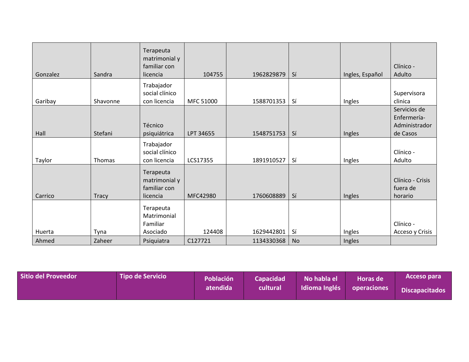|          |              | Terapeuta<br>matrimonial y<br>familiar con             |           |            |    |                 | Clínico -                                                |
|----------|--------------|--------------------------------------------------------|-----------|------------|----|-----------------|----------------------------------------------------------|
| Gonzalez | Sandra       | licencia                                               | 104755    | 1962829879 | Sí | Ingles, Español | Adulto                                                   |
| Garibay  | Shavonne     | Trabajador<br>social clínico<br>con licencia           | MFC 51000 | 1588701353 | Sí | Ingles          | Supervisora<br>clinica                                   |
| Hall     | Stefani      | Técnico<br>psiquiátrica                                | LPT 34655 | 1548751753 | Sí | Ingles          | Servicios de<br>Enfermería-<br>Administrador<br>de Casos |
| Taylor   | Thomas       | Trabajador<br>social clínico<br>con licencia           | LCS17355  | 1891910527 | Sí | Ingles          | Clínico -<br>Adulto                                      |
| Carrico  | <b>Tracy</b> | Terapeuta<br>matrimonial y<br>familiar con<br>licencia | MFC42980  | 1760608889 | Sí | Ingles          | Clínico - Crisis<br>fuera de<br>horario                  |
| Huerta   | Tyna         | Terapeuta<br>Matrimonial<br>Familiar<br>Asociado       | 124408    | 1629442801 | Sí | Ingles          | Clínico -<br>Acceso y Crisis                             |
| Ahmed    | Zaheer       | Psiquiatra                                             | C127721   | 1134330368 | No | Ingles          |                                                          |

| Sitio del Proveedor | l Tipo de Servicio <sup>I</sup> | Población | <b>Capacidad</b> | No habla el   | <b>Horas de</b>    | Acceso para    |
|---------------------|---------------------------------|-----------|------------------|---------------|--------------------|----------------|
|                     |                                 | atendida  | cultural         | Idioma Inglés | <b>Operaciones</b> | Discapacitados |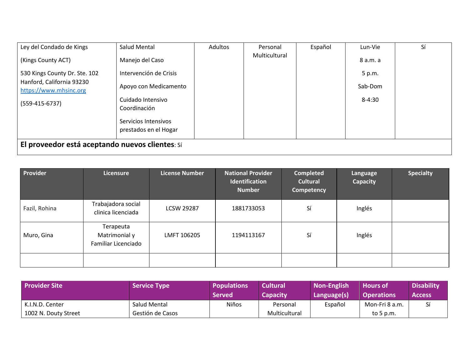| Ley del Condado de Kings                            | Salud Mental           | Adultos | Personal      | Español | Lun-Vie  | Sí |  |  |  |
|-----------------------------------------------------|------------------------|---------|---------------|---------|----------|----|--|--|--|
| (Kings County ACT)                                  | Manejo del Caso        |         | Multicultural |         | 8 a.m. a |    |  |  |  |
| 530 Kings County Dr. Ste. 102                       | Intervención de Crisis |         |               |         | 5 p.m.   |    |  |  |  |
| Hanford, California 93230<br>https://www.mhsinc.org | Apoyo con Medicamento  |         |               |         | Sab-Dom  |    |  |  |  |
| $(559-415-6737)$                                    | Cuidado Intensivo      |         |               |         | 8-4:30   |    |  |  |  |
|                                                     | Coordinación           |         |               |         |          |    |  |  |  |
|                                                     | Servicios Intensivos   |         |               |         |          |    |  |  |  |
|                                                     | prestados en el Hogar  |         |               |         |          |    |  |  |  |
| El proveedor está aceptando nuevos clientes: Sí     |                        |         |               |         |          |    |  |  |  |

| Provider      | Licensure                                         | License Number    | <b>National Provider</b><br><b>Identification</b><br><b>Number</b> | <b>Completed</b><br><b>Cultural</b><br>Competency | Language<br><b>Capacity</b> | <b>Specialty</b> |
|---------------|---------------------------------------------------|-------------------|--------------------------------------------------------------------|---------------------------------------------------|-----------------------------|------------------|
| Fazil, Rohina | Trabajadora social<br>clinica licenciada          | <b>LCSW 29287</b> | 1881733053                                                         | Sí                                                | Inglés                      |                  |
| Muro, Gina    | Terapeuta<br>Matrimonial y<br>Familiar Licenciado | LMFT 106205       | 1194113167                                                         | Sí                                                | Inglés                      |                  |
|               |                                                   |                   |                                                                    |                                                   |                             |                  |

| <b>Provider Site</b>                    | <b>Service Type</b>              | <b>Populations</b><br><b>Served</b> | <b>Cultural</b><br><b>Capacity</b> | Non-English<br>Language(s) | <b>Hours of</b><br><b>Operations</b> | <b>Disability</b><br><b>Access</b> |
|-----------------------------------------|----------------------------------|-------------------------------------|------------------------------------|----------------------------|--------------------------------------|------------------------------------|
| K.I.N.D. Center<br>1002 N. Douty Street | Salud Mental<br>Gestión de Casos | Niños                               | Personal<br>Multicultural          | Español                    | Mon-Fri 8 a.m.<br>to 5 p.m.          |                                    |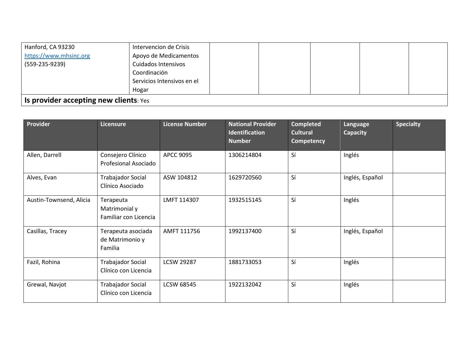| Hanford, CA 93230                      | Intervencion de Crisis     |  |  |  |  |  |  |
|----------------------------------------|----------------------------|--|--|--|--|--|--|
| https://www.mhsinc.org                 | Apoyo de Medicamentos      |  |  |  |  |  |  |
| $(559-235-9239)$                       | Cuidados Intensivos        |  |  |  |  |  |  |
|                                        | Coordinación               |  |  |  |  |  |  |
|                                        | Servicios Intensivos en el |  |  |  |  |  |  |
|                                        | Hogar                      |  |  |  |  |  |  |
| Is provider accepting new clients: Yes |                            |  |  |  |  |  |  |

| Provider                | Licensure                                           | <b>License Number</b> | <b>National Provider</b><br><b>Identification</b><br><b>Number</b> | <b>Completed</b><br><b>Cultural</b><br><b>Competency</b> | Language<br><b>Capacity</b> | <b>Specialty</b> |
|-------------------------|-----------------------------------------------------|-----------------------|--------------------------------------------------------------------|----------------------------------------------------------|-----------------------------|------------------|
| Allen, Darrell          | Consejero Clínico<br>Profesional Asociado           | <b>APCC 9095</b>      | 1306214804                                                         | Sí                                                       | Inglés                      |                  |
| Alves, Evan             | Trabajador Social<br>Clínico Asociado               | ASW 104812            | 1629720560                                                         | Sí                                                       | Inglés, Español             |                  |
| Austin-Townsend, Alicia | Terapeuta<br>Matrimonial y<br>Familiar con Licencia | LMFT 114307           | 1932515145                                                         | Sí                                                       | Inglés                      |                  |
| Casillas, Tracey        | Terapeuta asociada<br>de Matrimonio y<br>Familia    | AMFT 111756           | 1992137400                                                         | Sí                                                       | Inglés, Español             |                  |
| Fazil, Rohina           | <b>Trabajador Social</b><br>Clínico con Licencia    | <b>LCSW 29287</b>     | 1881733053                                                         | Sí                                                       | Inglés                      |                  |
| Grewal, Navjot          | Trabajador Social<br>Clínico con Licencia           | <b>LCSW 68545</b>     | 1922132042                                                         | Sí                                                       | Inglés                      |                  |